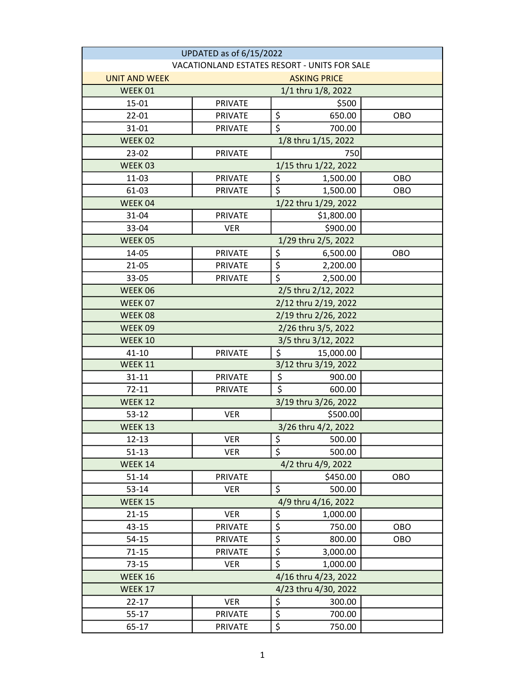| UPDATED as of 6/15/2022                      |                      |                                 |                      |            |  |
|----------------------------------------------|----------------------|---------------------------------|----------------------|------------|--|
| VACATIONLAND ESTATES RESORT - UNITS FOR SALE |                      |                                 |                      |            |  |
| <b>UNIT AND WEEK</b>                         | <b>ASKING PRICE</b>  |                                 |                      |            |  |
| WEEK 01                                      | 1/1 thru 1/8, 2022   |                                 |                      |            |  |
| 15-01                                        | <b>PRIVATE</b>       |                                 | \$500                |            |  |
| 22-01                                        | <b>PRIVATE</b>       | \$                              | 650.00               | OBO        |  |
| 31-01                                        | <b>PRIVATE</b>       | \$                              | 700.00               |            |  |
| WEEK 02                                      |                      |                                 | 1/8 thru 1/15, 2022  |            |  |
| 23-02                                        | <b>PRIVATE</b>       |                                 | 750                  |            |  |
| WEEK 03                                      |                      |                                 | 1/15 thru 1/22, 2022 |            |  |
| 11-03                                        | <b>PRIVATE</b>       | \$                              | 1,500.00             | <b>OBO</b> |  |
| 61-03                                        | <b>PRIVATE</b>       | $\overline{\xi}$                | 1,500.00             | <b>OBO</b> |  |
| WEEK 04                                      | 1/22 thru 1/29, 2022 |                                 |                      |            |  |
| 31-04                                        | <b>PRIVATE</b>       |                                 | \$1,800.00           |            |  |
| 33-04                                        | <b>VER</b>           |                                 | \$900.00             |            |  |
| WEEK 05                                      |                      |                                 | 1/29 thru 2/5, 2022  |            |  |
| 14-05                                        | <b>PRIVATE</b>       | \$                              | 6,500.00             | <b>OBO</b> |  |
| $21 - 05$                                    | <b>PRIVATE</b>       | $\overline{\boldsymbol{\zeta}}$ | 2,200.00             |            |  |
| 33-05                                        | <b>PRIVATE</b>       | $\overline{\mathsf{s}}$         | 2,500.00             |            |  |
| 2/5 thru 2/12, 2022<br>WEEK 06               |                      |                                 |                      |            |  |
| WEEK 07                                      | 2/12 thru 2/19, 2022 |                                 |                      |            |  |
| WEEK 08                                      | 2/19 thru 2/26, 2022 |                                 |                      |            |  |
| WEEK09                                       | 2/26 thru 3/5, 2022  |                                 |                      |            |  |
| WEEK 10                                      | 3/5 thru 3/12, 2022  |                                 |                      |            |  |
| $41 - 10$                                    | <b>PRIVATE</b>       | \$                              | 15,000.00            |            |  |
| WEEK 11                                      |                      |                                 | 3/12 thru 3/19, 2022 |            |  |
| $31 - 11$                                    | <b>PRIVATE</b>       | \$                              | 900.00               |            |  |
| $72 - 11$                                    | <b>PRIVATE</b>       | $\overline{\xi}$                | 600.00               |            |  |
| WEEK 12                                      |                      |                                 | 3/19 thru 3/26, 2022 |            |  |
| $53 - 12$                                    | <b>VER</b>           |                                 | \$500.00             |            |  |
| WEEK 13                                      | 3/26 thru 4/2, 2022  |                                 |                      |            |  |
| $12 - 13$                                    | <b>VER</b>           | \$                              | 500.00               |            |  |
| $51 - 13$                                    | <b>VER</b>           | \$                              | 500.00               |            |  |
| WEEK 14                                      | 4/2 thru 4/9, 2022   |                                 |                      |            |  |
| $51 - 14$                                    | <b>PRIVATE</b>       |                                 | \$450.00             | OBO        |  |
| $53 - 14$                                    | <b>VER</b>           | \$                              | 500.00               |            |  |
| WEEK 15                                      | 4/9 thru 4/16, 2022  |                                 |                      |            |  |
| $21 - 15$                                    | <b>VER</b>           | \$                              | 1,000.00             |            |  |
| $43 - 15$                                    | PRIVATE              | $\overline{\xi}$                | 750.00               | OBO        |  |
| $54 - 15$                                    | <b>PRIVATE</b>       | \$                              | 800.00               | OBO        |  |
| $71 - 15$                                    | PRIVATE              | \$                              | 3,000.00             |            |  |
| $73 - 15$                                    | <b>VER</b>           | $\overline{\boldsymbol{\zeta}}$ | 1,000.00             |            |  |
| WEEK 16                                      |                      |                                 | 4/16 thru 4/23, 2022 |            |  |
| WEEK 17                                      | 4/23 thru 4/30, 2022 |                                 |                      |            |  |
| $22 - 17$                                    | <b>VER</b>           | \$                              | 300.00               |            |  |
| $55 - 17$                                    | <b>PRIVATE</b>       | $\overline{\xi}$                | 700.00               |            |  |
| 65-17                                        | <b>PRIVATE</b>       | \$                              | 750.00               |            |  |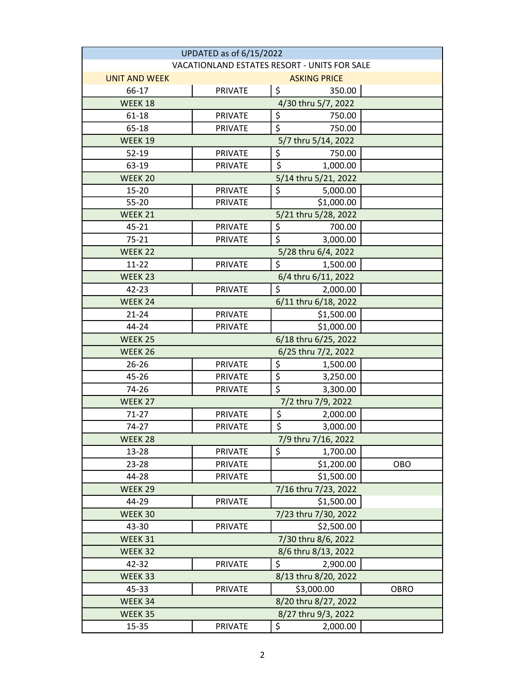| UPDATED as of 6/15/2022                      |                      |                              |             |  |
|----------------------------------------------|----------------------|------------------------------|-------------|--|
| VACATIONLAND ESTATES RESORT - UNITS FOR SALE |                      |                              |             |  |
| <b>UNIT AND WEEK</b>                         | <b>ASKING PRICE</b>  |                              |             |  |
| 66-17                                        | <b>PRIVATE</b>       | \$<br>350.00                 |             |  |
| WEEK 18                                      |                      | 4/30 thru 5/7, 2022          |             |  |
| 61-18                                        | <b>PRIVATE</b>       | \$<br>750.00                 |             |  |
| 65-18                                        | <b>PRIVATE</b>       | $\overline{\xi}$<br>750.00   |             |  |
| WEEK 19                                      |                      | 5/7 thru 5/14, 2022          |             |  |
| $52 - 19$                                    | <b>PRIVATE</b>       | \$<br>750.00                 |             |  |
| 63-19                                        | <b>PRIVATE</b>       | \$<br>1,000.00               |             |  |
| WEEK 20                                      |                      | 5/14 thru 5/21, 2022         |             |  |
| 15-20                                        | <b>PRIVATE</b>       | \$<br>5,000.00               |             |  |
| 55-20                                        | <b>PRIVATE</b>       | \$1,000.00                   |             |  |
| WEEK 21                                      |                      | 5/21 thru 5/28, 2022         |             |  |
| 45-21                                        | <b>PRIVATE</b>       | \$<br>700.00                 |             |  |
| $75 - 21$                                    | <b>PRIVATE</b>       | \$<br>3,000.00               |             |  |
| WEEK 22                                      |                      | 5/28 thru 6/4, 2022          |             |  |
| $11 - 22$                                    | <b>PRIVATE</b>       | \$<br>1,500.00               |             |  |
| WEEK 23                                      |                      | 6/4 thru 6/11, 2022          |             |  |
| 42-23                                        | <b>PRIVATE</b>       | $\overline{\xi}$<br>2,000.00 |             |  |
| WEEK 24                                      |                      | 6/11 thru 6/18, 2022         |             |  |
| $21 - 24$                                    | <b>PRIVATE</b>       | \$1,500.00                   |             |  |
| 44-24                                        | <b>PRIVATE</b>       | \$1,000.00                   |             |  |
| WEEK 25                                      |                      | 6/18 thru 6/25, 2022         |             |  |
| WEEK 26                                      |                      | 6/25 thru 7/2, 2022          |             |  |
| $26 - 26$                                    | <b>PRIVATE</b>       | \$<br>1,500.00               |             |  |
| 45-26                                        | <b>PRIVATE</b>       | $\overline{\xi}$<br>3,250.00 |             |  |
| 74-26                                        | <b>PRIVATE</b>       | $\overline{\xi}$<br>3,300.00 |             |  |
| WEEK 27                                      |                      | 7/2 thru 7/9, 2022           |             |  |
| $71 - 27$                                    | <b>PRIVATE</b>       | \$<br>2,000.00               |             |  |
| 74-27                                        | <b>PRIVATE</b>       | $\overline{\xi}$<br>3,000.00 |             |  |
| WEEK 28                                      |                      | 7/9 thru 7/16, 2022          |             |  |
| 13-28                                        | <b>PRIVATE</b>       | \$<br>1,700.00               |             |  |
| 23-28                                        | PRIVATE              | \$1,200.00                   | OBO         |  |
| 44-28                                        | <b>PRIVATE</b>       | \$1,500.00                   |             |  |
| WEEK 29                                      |                      | 7/16 thru 7/23, 2022         |             |  |
| 44-29                                        | PRIVATE              | \$1,500.00                   |             |  |
| WEEK 30                                      |                      | 7/23 thru 7/30, 2022         |             |  |
| 43-30                                        | <b>PRIVATE</b>       | \$2,500.00                   |             |  |
| WEEK 31                                      |                      | 7/30 thru 8/6, 2022          |             |  |
| WEEK 32                                      |                      | 8/6 thru 8/13, 2022          |             |  |
| 42-32                                        | <b>PRIVATE</b>       | \$<br>2,900.00               |             |  |
| WEEK 33                                      |                      | 8/13 thru 8/20, 2022         |             |  |
| 45-33                                        | <b>PRIVATE</b>       | \$3,000.00                   | <b>OBRO</b> |  |
| WEEK 34                                      | 8/20 thru 8/27, 2022 |                              |             |  |
| WEEK 35                                      |                      | 8/27 thru 9/3, 2022          |             |  |
| 15-35                                        | <b>PRIVATE</b>       | \$<br>2,000.00               |             |  |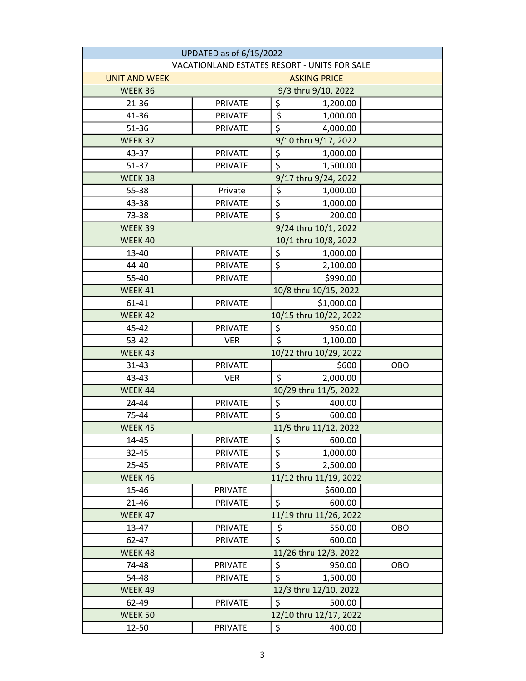| UPDATED as of 6/15/2022                      |                                                         |                                 |                                  |            |
|----------------------------------------------|---------------------------------------------------------|---------------------------------|----------------------------------|------------|
| VACATIONLAND ESTATES RESORT - UNITS FOR SALE |                                                         |                                 |                                  |            |
| <b>UNIT AND WEEK</b>                         | <b>ASKING PRICE</b>                                     |                                 |                                  |            |
| WEEK 36                                      | 9/3 thru 9/10, 2022                                     |                                 |                                  |            |
| 21-36                                        | <b>PRIVATE</b>                                          | \$                              | 1,200.00                         |            |
| 41-36                                        | <b>PRIVATE</b>                                          | \$                              | 1,000.00                         |            |
| 51-36                                        | <b>PRIVATE</b>                                          | \$                              | 4,000.00                         |            |
| WEEK 37                                      |                                                         |                                 | 9/10 thru 9/17, 2022             |            |
| 43-37                                        | <b>PRIVATE</b>                                          | \$                              | 1,000.00                         |            |
| 51-37                                        | <b>PRIVATE</b>                                          | $\overline{\boldsymbol{\zeta}}$ | 1,500.00                         |            |
| WEEK 38                                      |                                                         |                                 | 9/17 thru 9/24, 2022             |            |
| 55-38                                        | Private                                                 | \$                              | 1,000.00                         |            |
| 43-38                                        | <b>PRIVATE</b>                                          | $\overline{\xi}$                | 1,000.00                         |            |
| 73-38                                        | <b>PRIVATE</b>                                          | \$                              | 200.00                           |            |
| WEEK 39                                      | 9/24 thru 10/1, 2022                                    |                                 |                                  |            |
| WEEK 40                                      |                                                         |                                 | 10/1 thru 10/8, 2022             |            |
| 13-40                                        | <b>PRIVATE</b>                                          | \$                              | 1,000.00                         |            |
| 44-40                                        | <b>PRIVATE</b>                                          | \$                              | 2,100.00                         |            |
| 55-40                                        | <b>PRIVATE</b>                                          |                                 | \$990.00                         |            |
| WEEK 41                                      | 10/8 thru 10/15, 2022                                   |                                 |                                  |            |
| 61-41                                        | PRIVATE                                                 |                                 | \$1,000.00                       |            |
| WEEK 42                                      |                                                         |                                 | 10/15 thru 10/22, 2022           |            |
| 45-42                                        | <b>PRIVATE</b>                                          | \$                              | 950.00                           |            |
| 53-42                                        | <b>VER</b>                                              | \$                              | 1,100.00                         |            |
| WEEK 43                                      |                                                         |                                 | 10/22 thru 10/29, 2022           |            |
| $31 - 43$                                    | <b>PRIVATE</b>                                          |                                 | \$600                            | <b>OBO</b> |
| 43-43                                        | <b>VER</b>                                              | \$                              | 2,000.00                         |            |
| WEEK 44                                      |                                                         |                                 | 10/29 thru 11/5, 2022            |            |
| 24-44                                        | <b>PRIVATE</b>                                          | \$                              | 400.00                           |            |
| 75-44                                        | <b>PRIVATE</b>                                          | \$                              | 600.00                           |            |
| WEEK 45                                      | 11/5 thru 11/12, 2022                                   |                                 |                                  |            |
| 14-45                                        | <b>PRIVATE</b>                                          | \$                              | 600.00                           |            |
| $32 - 45$                                    | <b>PRIVATE</b>                                          | \$                              | 1,000.00                         |            |
| 25-45                                        | PRIVATE                                                 | $\overline{\xi}$                | 2,500.00                         |            |
| WEEK 46                                      |                                                         |                                 | 11/12 thru 11/19, 2022           |            |
| 15-46                                        | <b>PRIVATE</b>                                          |                                 | \$600.00                         |            |
| 21-46                                        | <b>PRIVATE</b>                                          | \$                              | 600.00<br>11/19 thru 11/26, 2022 |            |
| WEEK 47<br>13-47                             | <b>PRIVATE</b>                                          |                                 |                                  | <b>OBO</b> |
| 62-47                                        | <b>PRIVATE</b>                                          | \$<br>\$                        | 550.00<br>600.00                 |            |
| WEEK 48                                      |                                                         |                                 | 11/26 thru 12/3, 2022            |            |
| 74-48                                        | <b>PRIVATE</b>                                          | \$                              | 950.00                           | OBO        |
| 54-48                                        |                                                         | $\overline{\mathsf{S}}$         |                                  |            |
| WEEK 49                                      | <b>PRIVATE</b><br>1,500.00                              |                                 |                                  |            |
| 62-49                                        | 12/3 thru 12/10, 2022<br>\$<br><b>PRIVATE</b><br>500.00 |                                 |                                  |            |
| WEEK 50                                      |                                                         |                                 | 12/10 thru 12/17, 2022           |            |
| 12-50                                        | <b>PRIVATE</b>                                          | \$                              | 400.00                           |            |
|                                              |                                                         |                                 |                                  |            |